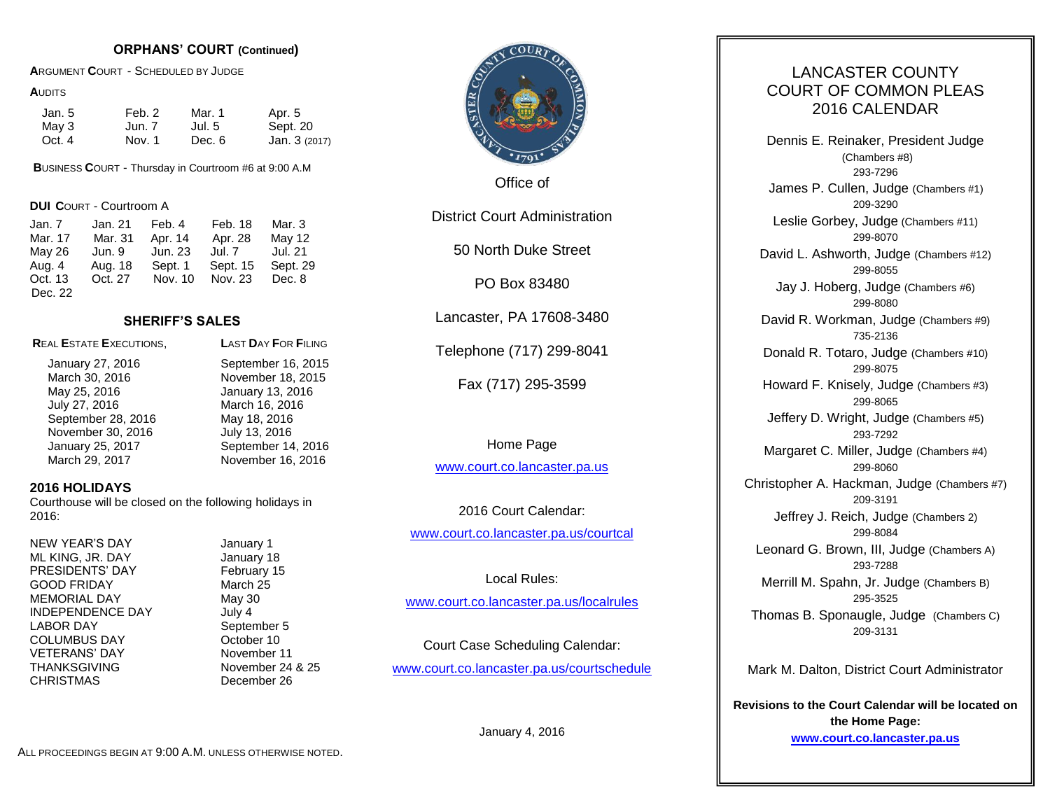# **ORPHANS' COURT (Continued)**

**A**RGUMENT **C**OURT - SCHEDULED BY JUDGE

#### **A**UDITS

| Jan. 5 | Feb. 2 | Mar. 1 | Apr. 5        |
|--------|--------|--------|---------------|
| May 3  | Jun. 7 | Jul. 5 | Sept. 20      |
| Oct. 4 | Nov. 1 | Dec. 6 | Jan. 3 (2017) |

**B**USINESS **C**OURT - Thursday in Courtroom #6 at 9:00 A.M

**DUI C**OURT - Courtroom A

| Jan. 7  | Jan. 21 | Feb. 4  | Feb. 18  | Mar. 3   |
|---------|---------|---------|----------|----------|
| Mar. 17 | Mar. 31 | Apr. 14 | Apr. 28  | May 12   |
| May 26  | Jun. 9  | Jun. 23 | Jul. 7   | Jul. 21  |
| Aug. 4  | Aug. 18 | Sept. 1 | Sept. 15 | Sept. 29 |
| Oct. 13 | Oct. 27 | Nov. 10 | Nov. 23  | Dec. 8   |
| Dec. 22 |         |         |          |          |

# **SHERIFF'S SALES**

**R**EAL **E**STATE **E**XECUTIONS, **L**AST **D**AY **F**OR **F**ILING

May 25, 2016 January 13, 2016 July 27, 2016 March 16, 2016 September 28, 2016 May 18, 2016 November 30, 2016 **July 13, 2016** 

January 27, 2016 September 16, 2015 March 30, 2016 **November 18, 2015** January 25, 2017 September 14, 2016 March 29, 2017 November 16, 2016

# **2016 HOLIDAYS**

Courthouse will be closed on the following holidays in 2016:

NEW YEAR'S DAY January 1 ML KING, JR. DAY January 18 PRESIDENTS' DAY February 15 GOOD FRIDAY March 25 MEMORIAL DAY May 30 INDEPENDENCE DAY July 4 LABOR DAY September 5 COLUMBUS DAY **COLUMBUS** DAY VETERANS' DAY November 11 THANKSGIVING November 24 & 25 CHRISTMAS December 26



Office of

District Court Administration

50 North Duke Street

PO Box 83480

Lancaster, PA 17608-3480

Telephone (717) 299-8041

Fax (717) 295-3599

Home Page

[www.court.co.lancaster.pa.us](http://www.court.co.lancaster.pa.us/)

2016 Court Calendar: [www.court.co.lancaster.pa.us/courtcal](http://www.court.co.lancaster.pa.us/courtcal)

Local Rules: [www.court.co.lancaster.pa.us/localrules](http://www.court.co.lancaster.pa.us/localrules)

Court Case Scheduling Calendar: [www.court.co.lancaster.pa.us/courtschedule](http://www.court.co.lancaster.pa.us/courtschedule)

January 4, 2016

# LANCASTER COUNTY COURT OF COMMON PLEAS 2016 CALENDAR

Dennis E. Reinaker, President Judge (Chambers #8) 293-7296 James P. Cullen, Judge (Chambers #1) 209-3290 Leslie Gorbey, Judge (Chambers #11) 299-8070 David L. Ashworth, Judge (Chambers #12) 299-8055 Jay J. Hoberg, Judge (Chambers #6) 299-8080 David R. Workman, Judge (Chambers #9) 735-2136 Donald R. Totaro, Judge (Chambers #10) 299-8075 Howard F. Knisely, Judge (Chambers #3) 299-8065 Jeffery D. Wright, Judge (Chambers #5) 293-7292 Margaret C. Miller, Judge (Chambers #4) 299-8060 Christopher A. Hackman, Judge (Chambers #7) 209-3191 Jeffrey J. Reich, Judge (Chambers 2) 299-8084 Leonard G. Brown, III, Judge (Chambers A) 293-7288 Merrill M. Spahn, Jr. Judge (Chambers B) 295-3525 Thomas B. Sponaugle, Judge (Chambers C) 209-3131

Mark M. Dalton, District Court Administrator

**Revisions to the Court Calendar will be located on the Home Page: [www.court.co.lancaster.pa.us](http://www.court.co.lancaster.pa.us/)**

ALL PROCEEDINGS BEGIN AT 9:00 A.M. UNLESS OTHERWISE NOTED.